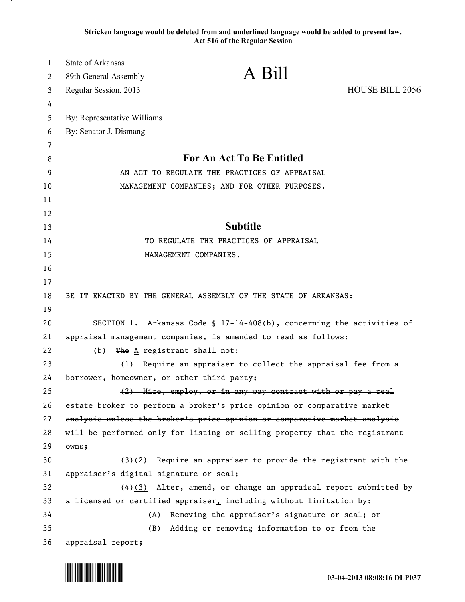**Stricken language would be deleted from and underlined language would be added to present law. Act 516 of the Regular Session**

| $\mathbf 1$ | <b>State of Arkansas</b>                                                  |                                                                            |
|-------------|---------------------------------------------------------------------------|----------------------------------------------------------------------------|
| 2           | 89th General Assembly                                                     | A Bill                                                                     |
| 3           | Regular Session, 2013                                                     | <b>HOUSE BILL 2056</b>                                                     |
| 4           |                                                                           |                                                                            |
| 5           | By: Representative Williams                                               |                                                                            |
| 6           | By: Senator J. Dismang                                                    |                                                                            |
| 7           |                                                                           |                                                                            |
| 8           |                                                                           | For An Act To Be Entitled                                                  |
| 9           |                                                                           | AN ACT TO REGULATE THE PRACTICES OF APPRAISAL                              |
| 10          |                                                                           | MANAGEMENT COMPANIES; AND FOR OTHER PURPOSES.                              |
| 11          |                                                                           |                                                                            |
| 12          |                                                                           |                                                                            |
| 13          |                                                                           | <b>Subtitle</b>                                                            |
| 14          |                                                                           | TO REGULATE THE PRACTICES OF APPRAISAL                                     |
| 15          |                                                                           | MANAGEMENT COMPANIES.                                                      |
| 16          |                                                                           |                                                                            |
| 17          |                                                                           |                                                                            |
| 18          |                                                                           | BE IT ENACTED BY THE GENERAL ASSEMBLY OF THE STATE OF ARKANSAS:            |
| 19          |                                                                           |                                                                            |
| 20          | SECTION 1. Arkansas Code § 17-14-408(b), concerning the activities of     |                                                                            |
| 21          | appraisal management companies, is amended to read as follows:            |                                                                            |
| 22          | (b)                                                                       | The $\underline{A}$ registrant shall not:                                  |
| 23          | (1)                                                                       | Require an appraiser to collect the appraisal fee from a                   |
| 24          | borrower, homeowner, or other third party;                                |                                                                            |
| 25          |                                                                           | (2) Hire, employ, or in any way contract with or pay a real                |
| 26          | estate broker to perform a broker's price opinion or comparative market   |                                                                            |
| 27          | analysis unless the broker's price opinion or comparative market analysis |                                                                            |
| 28          |                                                                           | will be performed only for listing or selling property that the registrant |
| 29          | owns;                                                                     |                                                                            |
| 30          |                                                                           | $\frac{1}{2}$ Require an appraiser to provide the registrant with the      |
| 31          | appraiser's digital signature or seal;                                    |                                                                            |
| 32          | $(4)$ (3) Alter, amend, or change an appraisal report submitted by        |                                                                            |
| 33          |                                                                           | a licensed or certified appraiser, including without limitation by:        |
| 34          | (A)                                                                       | Removing the appraiser's signature or seal; or                             |
| 35          | (B)                                                                       | Adding or removing information to or from the                              |
| 36          | appraisal report;                                                         |                                                                            |